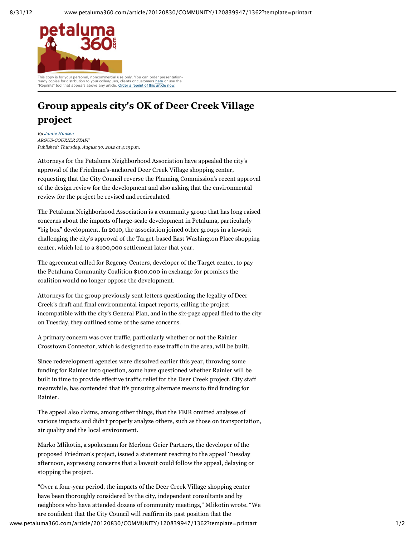

ready copies for distribution to your colleagues, clients or customers here or use the "Reprints" tool that appears above any article. Order a reprint of this article now.

## **Group appeals city's OK of Deer Creek Village project**

*By Jamie Hansen ARGUSCOURIER STAFF Published: Thursday, August 30, 2012 at 4:15 p.m.*

Attorneys for the Petaluma Neighborhood Association have appealed the city's approval of the Friedman's-anchored Deer Creek Village shopping center, requesting that the City Council reverse the Planning Commission's recent approval of the design review for the development and also asking that the environmental review for the project be revised and recirculated.

The Petaluma Neighborhood Association is a community group that has long raised concerns about the impacts of large-scale development in Petaluma, particularly "big box" development. In 2010, the association joined other groups in a lawsuit challenging the city's approval of the Target-based East Washington Place shopping center, which led to a \$100,000 settlement later that year.

The agreement called for Regency Centers, developer of the Target center, to pay the Petaluma Community Coalition \$100,000 in exchange for promises the coalition would no longer oppose the development.

Attorneys for the group previously sent letters questioning the legality of Deer Creek's draft and final environmental impact reports, calling the project incompatible with the city's General Plan, and in the six-page appeal filed to the city on Tuesday, they outlined some of the same concerns.

A primary concern was over traffic, particularly whether or not the Rainier Crosstown Connector, which is designed to ease traffic in the area, will be built.

Since redevelopment agencies were dissolved earlier this year, throwing some funding for Rainier into question, some have questioned whether Rainier will be built in time to provide effective traffic relief for the Deer Creek project. City staff meanwhile, has contended that it's pursuing alternate means to find funding for Rainier.

The appeal also claims, among other things, that the FEIR omitted analyses of various impacts and didn't properly analyze others, such as those on transportation, air quality and the local environment.

Marko Mlikotin, a spokesman for Merlone Geier Partners, the developer of the proposed Friedman's project, issued a statement reacting to the appeal Tuesday afternoon, expressing concerns that a lawsuit could follow the appeal, delaying or stopping the project.

"Over a four-year period, the impacts of the Deer Creek Village shopping center have been thoroughly considered by the city, independent consultants and by neighbors who have attended dozens of community meetings," Mlikotin wrote. "We are confident that the City Council will reaffirm its past position that the